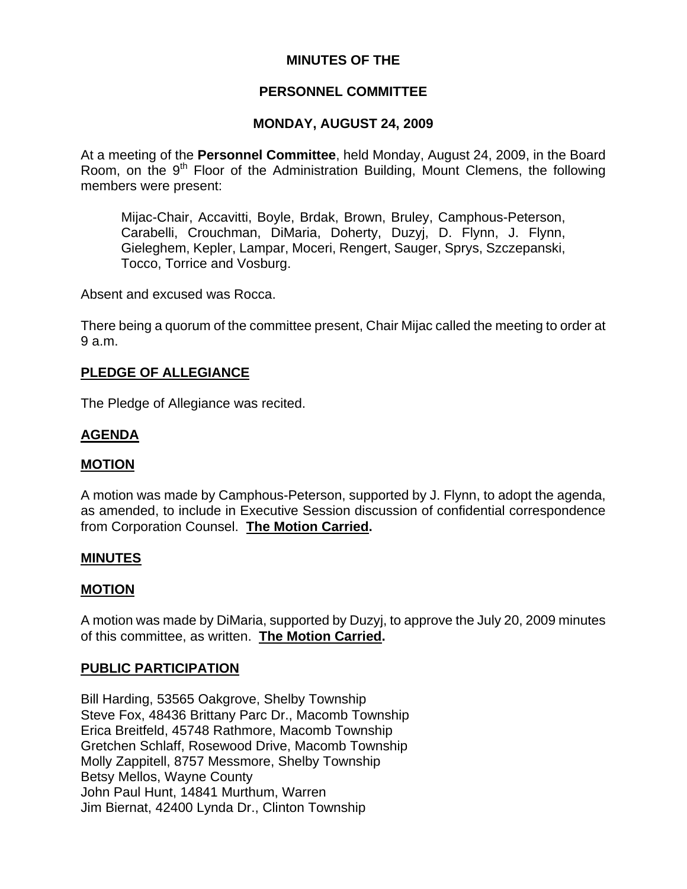# **MINUTES OF THE**

# **PERSONNEL COMMITTEE**

### **MONDAY, AUGUST 24, 2009**

At a meeting of the **Personnel Committee**, held Monday, August 24, 2009, in the Board Room, on the  $9<sup>th</sup>$  Floor of the Administration Building, Mount Clemens, the following members were present:

Mijac-Chair, Accavitti, Boyle, Brdak, Brown, Bruley, Camphous-Peterson, Carabelli, Crouchman, DiMaria, Doherty, Duzyj, D. Flynn, J. Flynn, Gieleghem, Kepler, Lampar, Moceri, Rengert, Sauger, Sprys, Szczepanski, Tocco, Torrice and Vosburg.

Absent and excused was Rocca.

There being a quorum of the committee present, Chair Mijac called the meeting to order at 9 a.m.

### **PLEDGE OF ALLEGIANCE**

The Pledge of Allegiance was recited.

## **AGENDA**

#### **MOTION**

A motion was made by Camphous-Peterson, supported by J. Flynn, to adopt the agenda, as amended, to include in Executive Session discussion of confidential correspondence from Corporation Counsel. **The Motion Carried.** 

#### **MINUTES**

#### **MOTION**

A motion was made by DiMaria, supported by Duzyj, to approve the July 20, 2009 minutes of this committee, as written. **The Motion Carried.** 

#### **PUBLIC PARTICIPATION**

Bill Harding, 53565 Oakgrove, Shelby Township Steve Fox, 48436 Brittany Parc Dr., Macomb Township Erica Breitfeld, 45748 Rathmore, Macomb Township Gretchen Schlaff, Rosewood Drive, Macomb Township Molly Zappitell, 8757 Messmore, Shelby Township Betsy Mellos, Wayne County John Paul Hunt, 14841 Murthum, Warren Jim Biernat, 42400 Lynda Dr., Clinton Township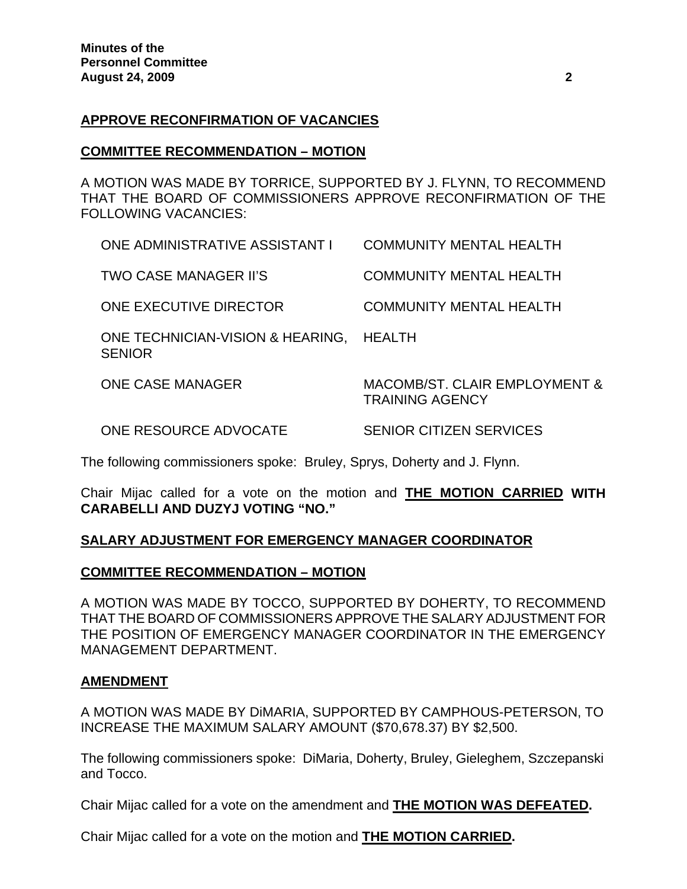## **APPROVE RECONFIRMATION OF VACANCIES**

### **COMMITTEE RECOMMENDATION – MOTION**

A MOTION WAS MADE BY TORRICE, SUPPORTED BY J. FLYNN, TO RECOMMEND THAT THE BOARD OF COMMISSIONERS APPROVE RECONFIRMATION OF THE FOLLOWING VACANCIES:

| <b>ONE CASE MANAGER</b>                                  | MACOMB/ST. CLAIR EMPLOYMENT &<br><b>TRAINING AGENCY</b> |
|----------------------------------------------------------|---------------------------------------------------------|
| ONE TECHNICIAN-VISION & HEARING, HEALTH<br><b>SENIOR</b> |                                                         |
| ONE EXECUTIVE DIRECTOR                                   | <b>COMMUNITY MENTAL HEALTH</b>                          |
| <b>TWO CASE MANAGER II'S</b>                             | <b>COMMUNITY MENTAL HEALTH</b>                          |
| <b>ONE ADMINISTRATIVE ASSISTANT I</b>                    | <b>COMMUNITY MENTAL HEALTH</b>                          |

ONE RESOURCE ADVOCATE SENIOR CITIZEN SERVICES

The following commissioners spoke: Bruley, Sprys, Doherty and J. Flynn.

Chair Mijac called for a vote on the motion and **THE MOTION CARRIED WITH CARABELLI AND DUZYJ VOTING "NO."** 

## **SALARY ADJUSTMENT FOR EMERGENCY MANAGER COORDINATOR**

## **COMMITTEE RECOMMENDATION – MOTION**

A MOTION WAS MADE BY TOCCO, SUPPORTED BY DOHERTY, TO RECOMMEND THAT THE BOARD OF COMMISSIONERS APPROVE THE SALARY ADJUSTMENT FOR THE POSITION OF EMERGENCY MANAGER COORDINATOR IN THE EMERGENCY MANAGEMENT DEPARTMENT.

## **AMENDMENT**

A MOTION WAS MADE BY DiMARIA, SUPPORTED BY CAMPHOUS-PETERSON, TO INCREASE THE MAXIMUM SALARY AMOUNT (\$70,678.37) BY \$2,500.

The following commissioners spoke: DiMaria, Doherty, Bruley, Gieleghem, Szczepanski and Tocco.

Chair Mijac called for a vote on the amendment and **THE MOTION WAS DEFEATED.** 

Chair Mijac called for a vote on the motion and **THE MOTION CARRIED.**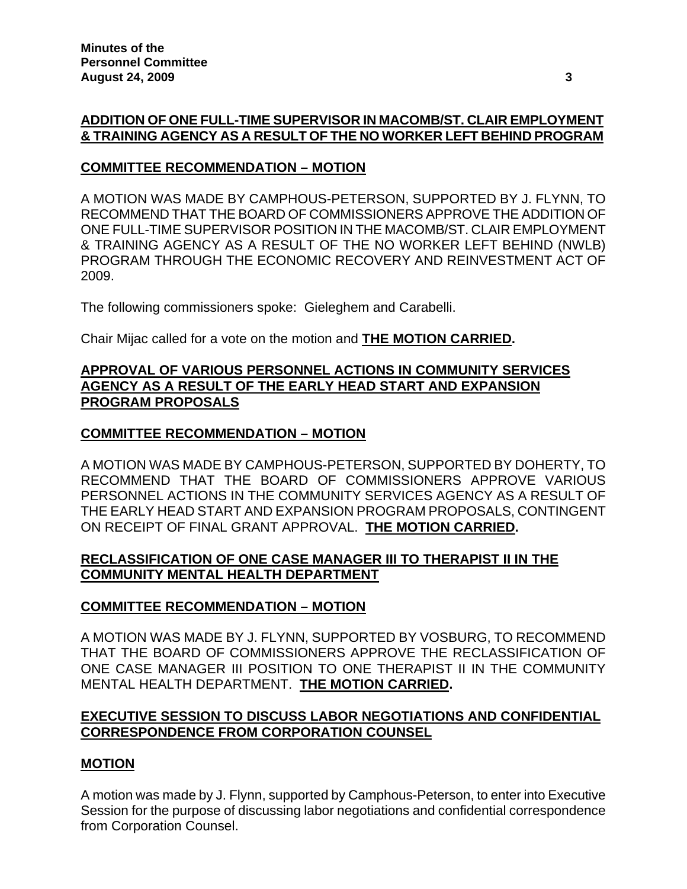# **ADDITION OF ONE FULL-TIME SUPERVISOR IN MACOMB/ST. CLAIR EMPLOYMENT & TRAINING AGENCY AS A RESULT OF THE NO WORKER LEFT BEHIND PROGRAM**

## **COMMITTEE RECOMMENDATION – MOTION**

A MOTION WAS MADE BY CAMPHOUS-PETERSON, SUPPORTED BY J. FLYNN, TO RECOMMEND THAT THE BOARD OF COMMISSIONERS APPROVE THE ADDITION OF ONE FULL-TIME SUPERVISOR POSITION IN THE MACOMB/ST. CLAIR EMPLOYMENT & TRAINING AGENCY AS A RESULT OF THE NO WORKER LEFT BEHIND (NWLB) PROGRAM THROUGH THE ECONOMIC RECOVERY AND REINVESTMENT ACT OF 2009.

The following commissioners spoke: Gieleghem and Carabelli.

Chair Mijac called for a vote on the motion and **THE MOTION CARRIED.**

## **APPROVAL OF VARIOUS PERSONNEL ACTIONS IN COMMUNITY SERVICES AGENCY AS A RESULT OF THE EARLY HEAD START AND EXPANSION PROGRAM PROPOSALS**

# **COMMITTEE RECOMMENDATION – MOTION**

A MOTION WAS MADE BY CAMPHOUS-PETERSON, SUPPORTED BY DOHERTY, TO RECOMMEND THAT THE BOARD OF COMMISSIONERS APPROVE VARIOUS PERSONNEL ACTIONS IN THE COMMUNITY SERVICES AGENCY AS A RESULT OF THE EARLY HEAD START AND EXPANSION PROGRAM PROPOSALS, CONTINGENT ON RECEIPT OF FINAL GRANT APPROVAL. **THE MOTION CARRIED.** 

## **RECLASSIFICATION OF ONE CASE MANAGER III TO THERAPIST II IN THE COMMUNITY MENTAL HEALTH DEPARTMENT**

# **COMMITTEE RECOMMENDATION – MOTION**

A MOTION WAS MADE BY J. FLYNN, SUPPORTED BY VOSBURG, TO RECOMMEND THAT THE BOARD OF COMMISSIONERS APPROVE THE RECLASSIFICATION OF ONE CASE MANAGER III POSITION TO ONE THERAPIST II IN THE COMMUNITY MENTAL HEALTH DEPARTMENT. **THE MOTION CARRIED.** 

## **EXECUTIVE SESSION TO DISCUSS LABOR NEGOTIATIONS AND CONFIDENTIAL CORRESPONDENCE FROM CORPORATION COUNSEL**

## **MOTION**

A motion was made by J. Flynn, supported by Camphous-Peterson, to enter into Executive Session for the purpose of discussing labor negotiations and confidential correspondence from Corporation Counsel.